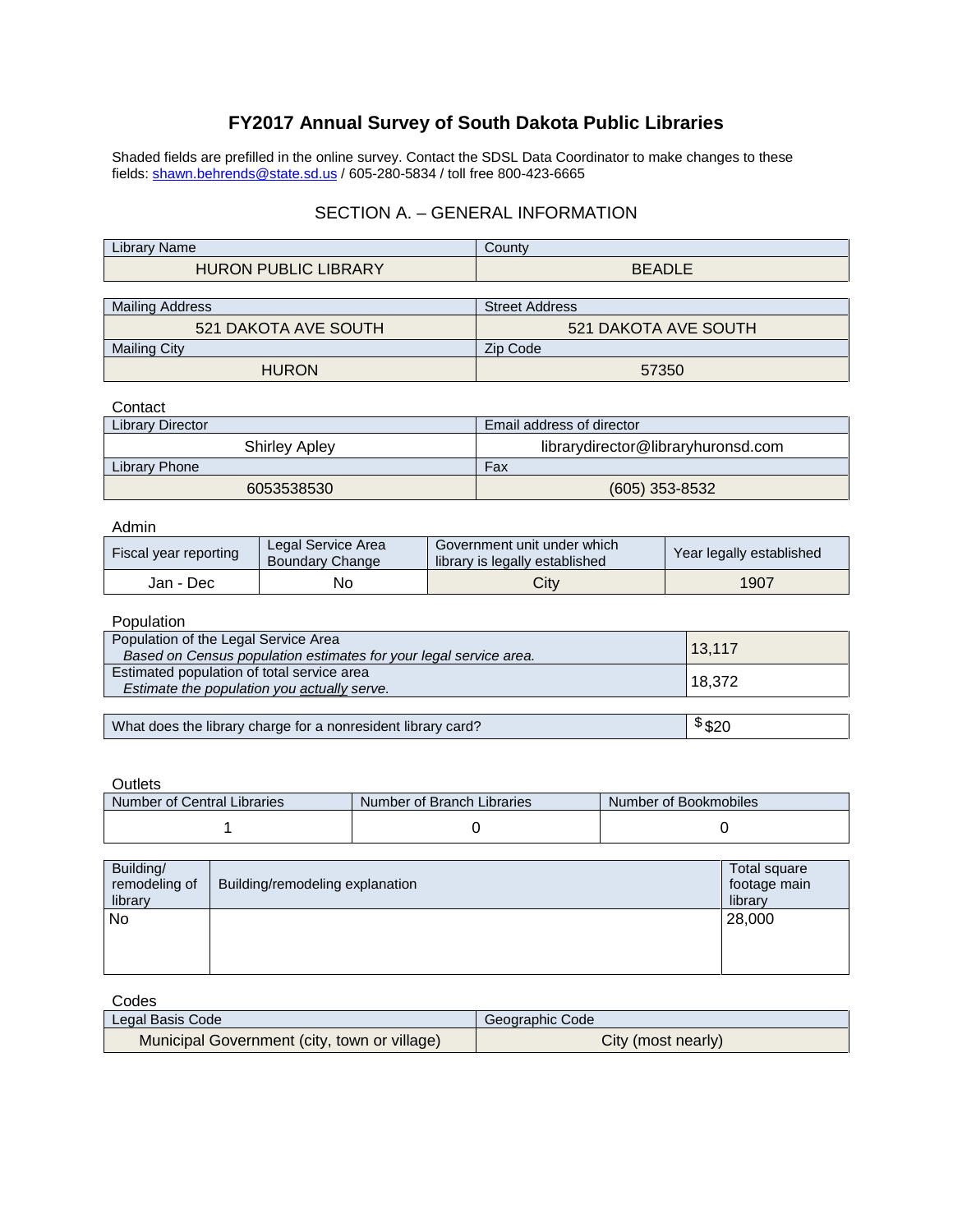# **FY2017 Annual Survey of South Dakota Public Libraries**

Shaded fields are prefilled in the online survey. Contact the SDSL Data Coordinator to make changes to these fields: <u>shawn.behrends@state.sd.us</u> / 605-280-5834 / toll free 800-423-6665

### SECTION A. – GENERAL INFORMATION

| .<br><b>Name</b><br>Library' | Count         |
|------------------------------|---------------|
| <b>HURON PUBLIC LIBRARY</b>  | <b>BEADLE</b> |
|                              |               |

| Mailing Address             | <b>Street Address</b> |  |
|-----------------------------|-----------------------|--|
| <b>521 DAKOTA AVE SOUTH</b> | 521 DAKOTA AVE SOUTH  |  |
| <b>Mailing City</b>         | Zip Code              |  |
| <b>HURON</b>                | 57350                 |  |

#### Contact

| <b>Library Director</b> | Email address of director          |  |
|-------------------------|------------------------------------|--|
| <b>Shirley Apley</b>    | librarydirector@libraryhuronsd.com |  |
| Library Phone           | Fax                                |  |
| 6053538530              | $(605)$ 353-8532                   |  |

#### Admin

| Fiscal year reporting | Legal Service Area<br>Boundary Change | Government unit under which<br>library is legally established | Year legally established |
|-----------------------|---------------------------------------|---------------------------------------------------------------|--------------------------|
| Jan - Dec             | No                                    | City                                                          | 1907                     |

#### Population

| Population of the Legal Service Area<br>Based on Census population estimates for your legal service area. | 13,117 |
|-----------------------------------------------------------------------------------------------------------|--------|
| Estimated population of total service area<br>Estimate the population you actually serve.                 | 18,372 |
|                                                                                                           |        |
| What does the library charge for a nonresident library card?                                              | \$320  |

#### **Outlets**

| Number of Central Libraries | Number of Branch Libraries | Number of Bookmobiles |
|-----------------------------|----------------------------|-----------------------|
|                             |                            |                       |

| Building/<br>remodeling of<br>library | Building/remodeling explanation | Total square<br>footage main<br>library |
|---------------------------------------|---------------------------------|-----------------------------------------|
| No                                    |                                 | 28,000                                  |
|                                       |                                 |                                         |

| Codes                                        |                    |
|----------------------------------------------|--------------------|
| Legal Basis Code                             | Geographic Code    |
| Municipal Government (city, town or village) | City (most nearly) |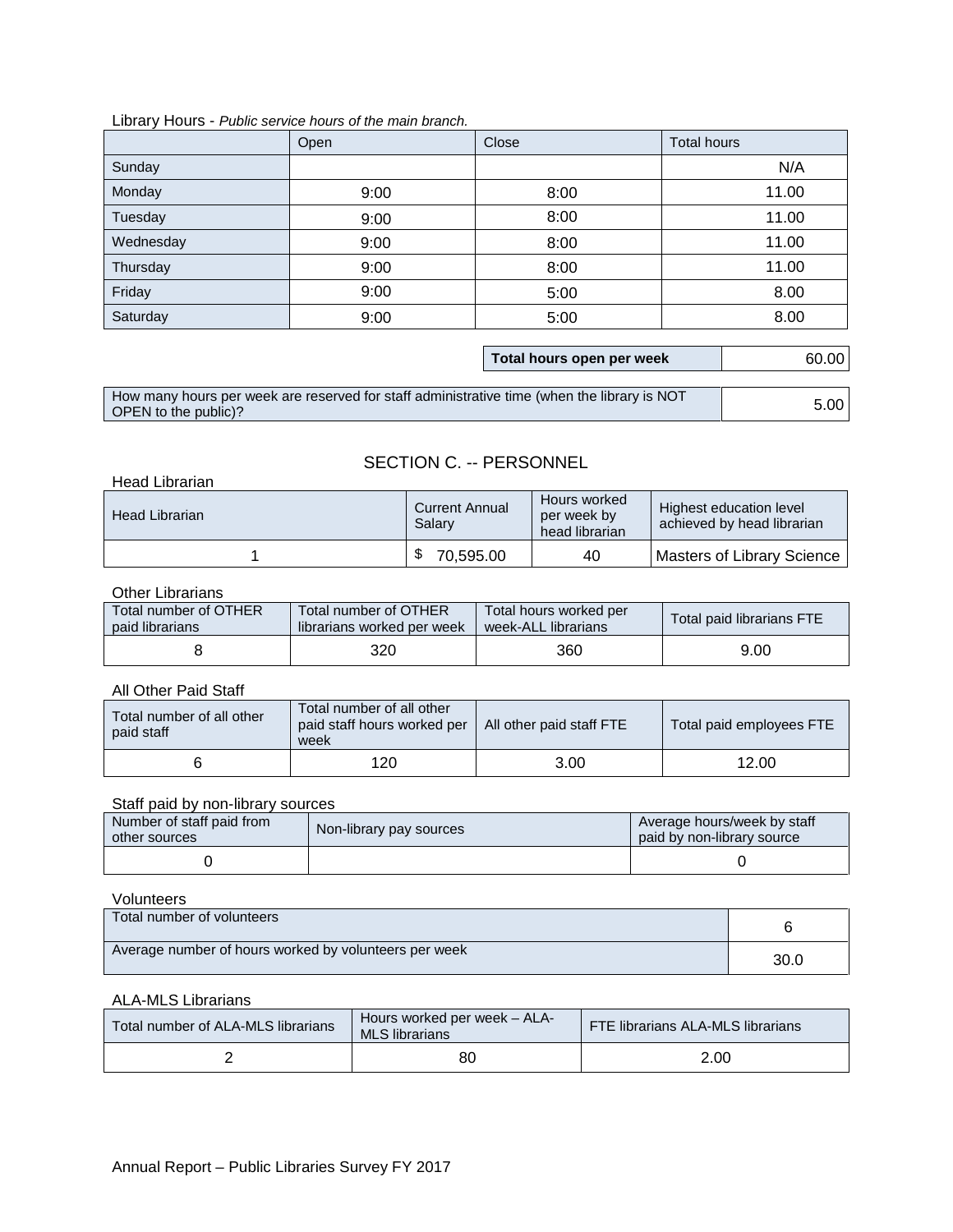### Library Hours - *Public service hours of the main branch.*

|                                                                                                                                             | Open | Close                     | <b>Total hours</b> |
|---------------------------------------------------------------------------------------------------------------------------------------------|------|---------------------------|--------------------|
| Sunday                                                                                                                                      |      |                           | N/A                |
| Monday                                                                                                                                      | 9:00 | 8:00                      | 11.00              |
| Tuesday                                                                                                                                     | 9:00 | 8:00                      | 11.00              |
| Wednesday                                                                                                                                   | 9:00 | 8:00                      | 11.00              |
| Thursday                                                                                                                                    | 9:00 | 8:00                      | 11.00              |
| Friday                                                                                                                                      | 9:00 | 5:00                      | 8.00               |
| Saturday                                                                                                                                    | 9:00 | 5:00                      | 8.00               |
|                                                                                                                                             |      |                           |                    |
|                                                                                                                                             |      | Total hours open per week | 60.00              |
|                                                                                                                                             |      |                           |                    |
| How many hours per week are reserved for staff administrative time (when the library is NOT<br>$\triangle$ PEN to the publicted $\triangle$ |      |                           | 5.00               |

|                                                                                             | Total hours open per week | 60.00 |
|---------------------------------------------------------------------------------------------|---------------------------|-------|
|                                                                                             |                           |       |
| How many hours per week are reserved for staff administrative time (when the library is NOT |                           |       |
| OPEN to the public)?                                                                        |                           | 5.00  |

## SECTION C. -- PERSONNEL

| Head Librarian |                                 |                                               |                                                       |
|----------------|---------------------------------|-----------------------------------------------|-------------------------------------------------------|
| Head Librarian | <b>Current Annual</b><br>Salary | Hours worked<br>per week by<br>head librarian | Highest education level<br>achieved by head librarian |
|                | 70,595.00                       | 40                                            | Masters of Library Science                            |

### Other Librarians

| Total number of OTHER | Total number of OTHER      | Total hours worked per | Total paid librarians FTE |
|-----------------------|----------------------------|------------------------|---------------------------|
| paid librarians       | librarians worked per week | week-ALL librarians    |                           |
|                       | 320                        | 360                    | 9.00                      |

### All Other Paid Staff

| Total number of all other<br>paid staff | Total number of all other<br>paid staff hours worked per   All other paid staff FTE<br>week |      | Total paid employees FTE |
|-----------------------------------------|---------------------------------------------------------------------------------------------|------|--------------------------|
|                                         | 120                                                                                         | 3.00 | 12.00                    |

### Staff paid by non-library sources

| Number of staff paid from<br>other sources | Non-library pay sources | Average hours/week by staff<br>paid by non-library source |
|--------------------------------------------|-------------------------|-----------------------------------------------------------|
|                                            |                         |                                                           |

### Volunteers

| Total number of volunteers                            |      |
|-------------------------------------------------------|------|
| Average number of hours worked by volunteers per week | 30.0 |

### ALA-MLS Librarians

| Total number of ALA-MLS librarians | Hours worked per week - ALA-<br>MLS librarians | <b>FTE librarians ALA-MLS librarians</b> |
|------------------------------------|------------------------------------------------|------------------------------------------|
|                                    | 80                                             | 2.00                                     |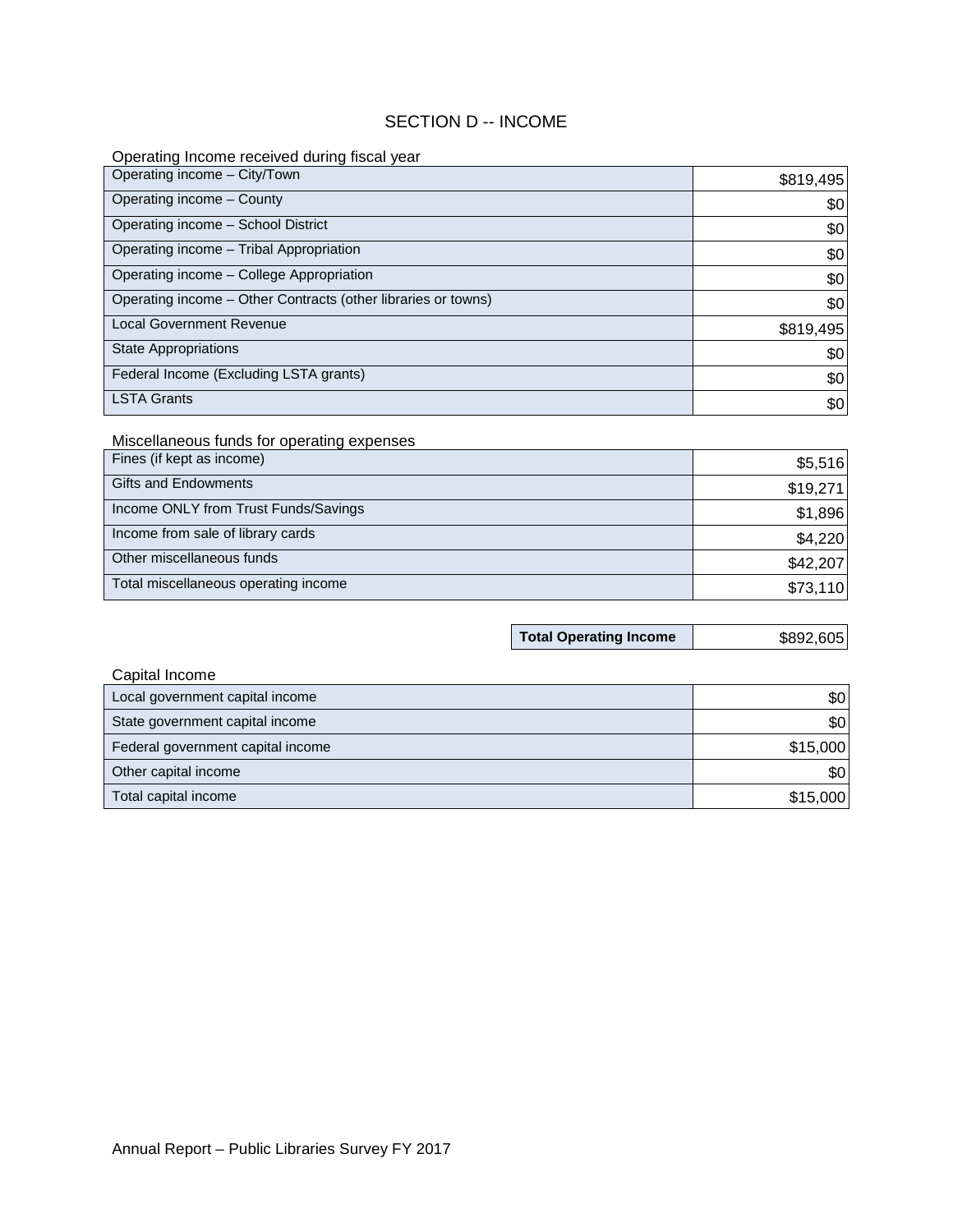### SECTION D -- INCOME

### Operating Income received during fiscal year

| Operating income - City/Town                                            |                               |           |
|-------------------------------------------------------------------------|-------------------------------|-----------|
| Operating income - County                                               |                               | \$819,495 |
|                                                                         |                               | \$0       |
| Operating income - School District                                      |                               | \$0       |
| Operating income - Tribal Appropriation                                 |                               | \$0       |
| Operating income - College Appropriation                                |                               | \$0       |
| Operating income - Other Contracts (other libraries or towns)           |                               | \$0       |
| <b>Local Government Revenue</b>                                         |                               | \$819,495 |
| <b>State Appropriations</b>                                             |                               | \$0       |
| Federal Income (Excluding LSTA grants)                                  |                               | \$0       |
| <b>LSTA Grants</b>                                                      |                               | \$0       |
|                                                                         |                               |           |
| Miscellaneous funds for operating expenses<br>Fines (if kept as income) |                               |           |
|                                                                         |                               | \$5,516   |
| <b>Gifts and Endowments</b>                                             |                               | \$19,271  |
| Income ONLY from Trust Funds/Savings                                    |                               | \$1,896   |
| Income from sale of library cards                                       |                               | \$4,220   |
| Other miscellaneous funds                                               |                               | \$42,207  |
| Total miscellaneous operating income                                    |                               | \$73,110  |
|                                                                         |                               |           |
|                                                                         | <b>Total Operating Income</b> | \$892,605 |
|                                                                         |                               |           |
| Capital Income                                                          |                               |           |
| Local government capital income                                         |                               | \$0       |
| State government capital income                                         |                               | \$0       |
| Federal government capital income                                       |                               | \$15,000  |
| Other capital income                                                    |                               | \$0       |
| Total capital income                                                    |                               | \$15,000  |

### Miscellaneous funds for operating expenses

| Fines (if kept as income)            | \$5,516  |
|--------------------------------------|----------|
| <b>Gifts and Endowments</b>          | \$19,271 |
| Income ONLY from Trust Funds/Savings | \$1,896  |
| Income from sale of library cards    | \$4,220  |
| Other miscellaneous funds            | \$42,207 |
| Total miscellaneous operating income | \$73,110 |

| <b>Total Operating Income</b> | \$89 |
|-------------------------------|------|
|-------------------------------|------|

| \$892,605 |
|-----------|
|           |

| Capital Income                    |          |
|-----------------------------------|----------|
| Local government capital income   | \$0      |
| State government capital income   | \$0      |
| Federal government capital income | \$15,000 |
| Other capital income              | \$0      |
| Total capital income              | \$15,000 |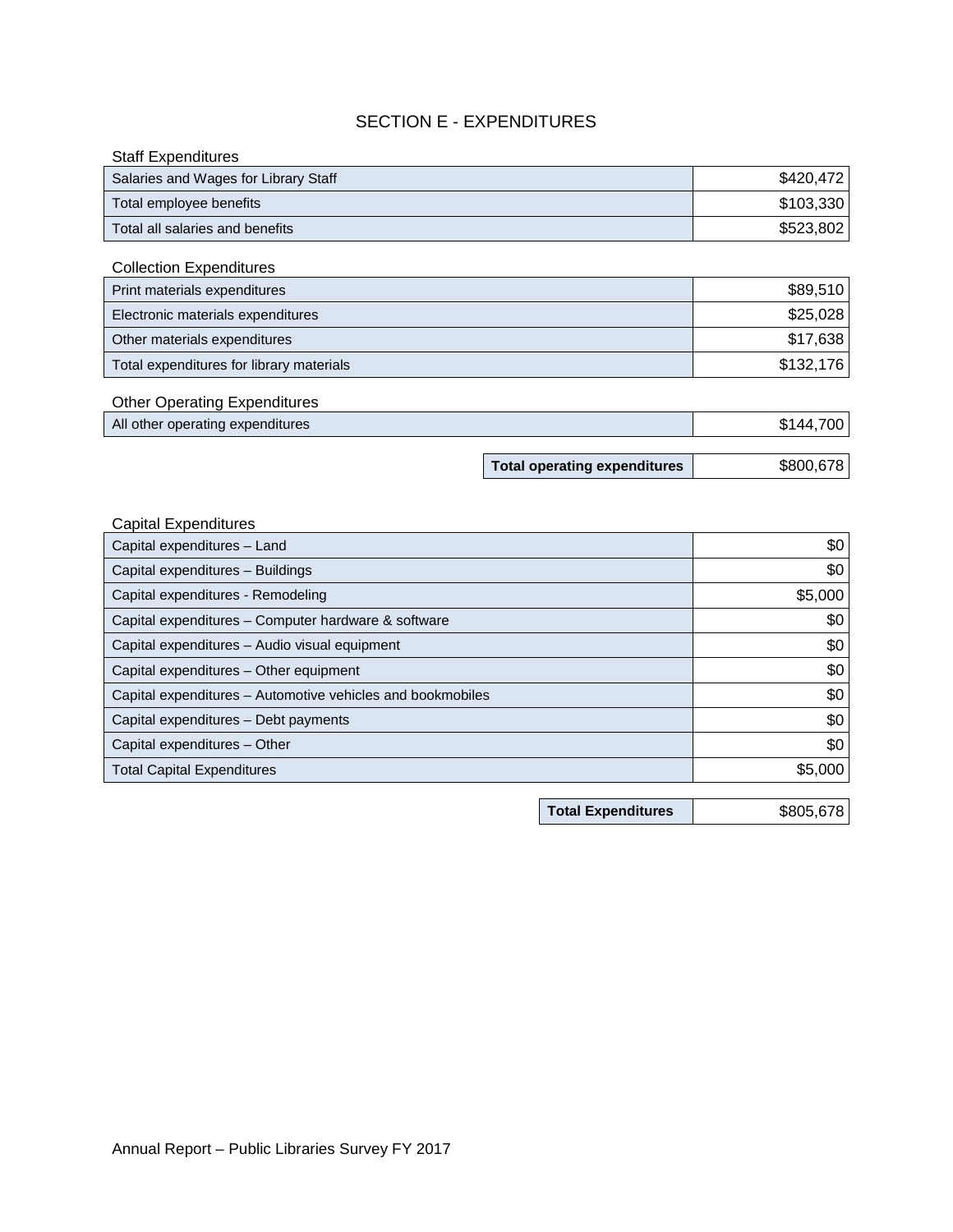## SECTION E - EXPENDITURES

| <b>Staff Expenditures</b>                                      |                                     |           |
|----------------------------------------------------------------|-------------------------------------|-----------|
| Salaries and Wages for Library Staff                           |                                     | \$420,472 |
| Total employee benefits                                        |                                     | \$103,330 |
| Total all salaries and benefits                                |                                     | \$523,802 |
|                                                                |                                     |           |
| <b>Collection Expenditures</b><br>Print materials expenditures |                                     | \$89,510  |
| Electronic materials expenditures                              |                                     | \$25,028  |
| Other materials expenditures                                   |                                     | \$17,638  |
| Total expenditures for library materials                       |                                     | \$132,176 |
|                                                                |                                     |           |
| <b>Other Operating Expenditures</b>                            |                                     |           |
| All other operating expenditures                               |                                     | \$144,700 |
|                                                                |                                     |           |
|                                                                |                                     |           |
|                                                                | <b>Total operating expenditures</b> | \$800,678 |
|                                                                |                                     |           |
| <b>Capital Expenditures</b>                                    |                                     |           |
| Capital expenditures - Land                                    |                                     | \$0       |
| Capital expenditures - Buildings                               |                                     | \$0       |
| Capital expenditures - Remodeling                              |                                     | \$5,000   |
| Capital expenditures - Computer hardware & software            |                                     | \$0       |
| Capital expenditures - Audio visual equipment                  |                                     | \$0       |
| Capital expenditures - Other equipment                         |                                     | \$0       |
| Capital expenditures - Automotive vehicles and bookmobiles     |                                     | \$0       |
| Capital expenditures - Debt payments                           |                                     | \$0       |
| Capital expenditures - Other                                   |                                     | \$0       |
| <b>Total Capital Expenditures</b>                              |                                     | \$5,000   |
|                                                                | <b>Total Expenditures</b>           | \$805,678 |

**Total Expenditures** \$805,678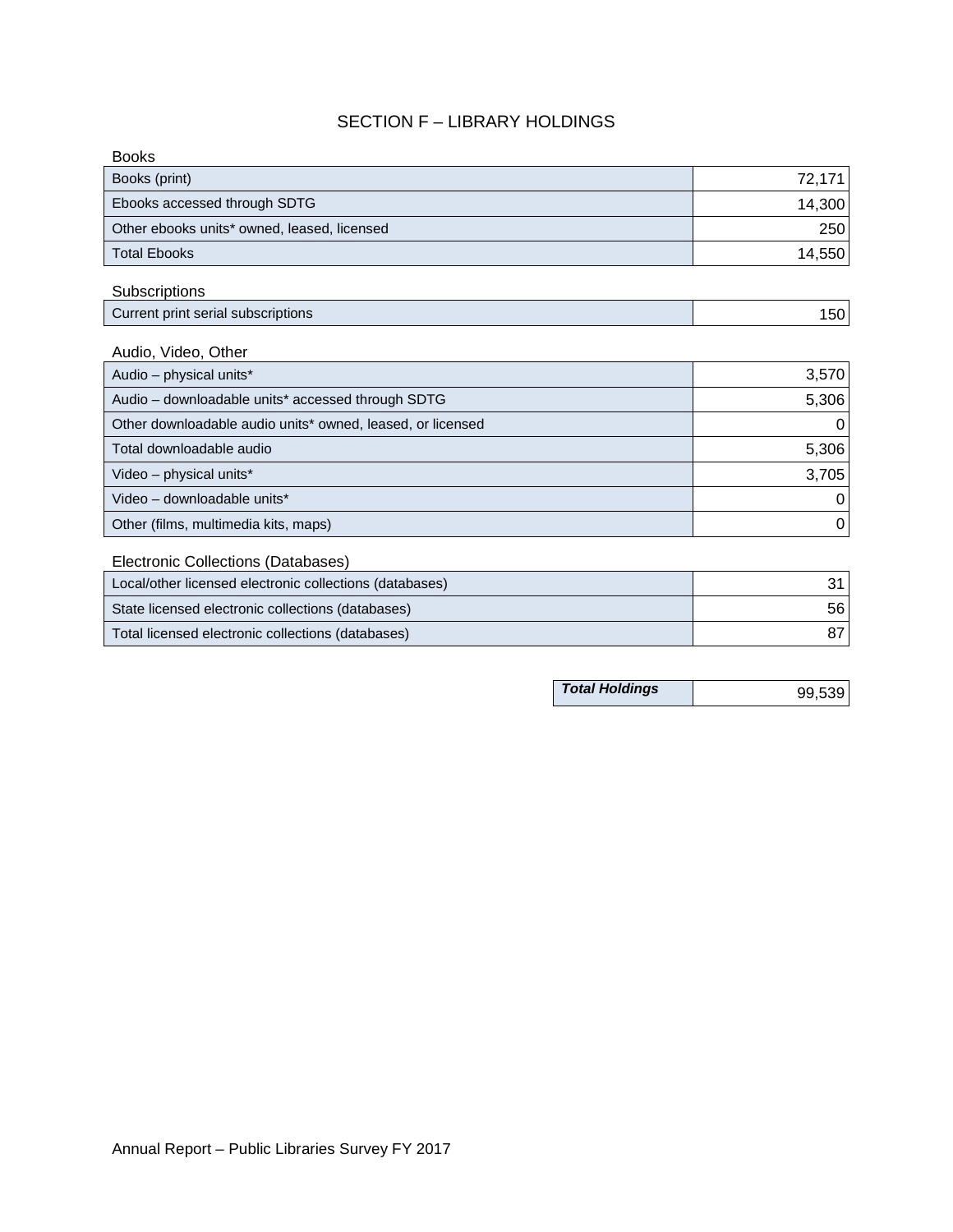## SECTION F – LIBRARY HOLDINGS

| 72,171 |
|--------|
| 14,300 |
| 250    |
| 14,550 |
|        |

## **Subscriptions**

| Current print serial subscriptions | 5UI |
|------------------------------------|-----|
|------------------------------------|-----|

## Audio, Video, Other

| Ebooks accessed through SDTG                               | 14,300 |
|------------------------------------------------------------|--------|
| Other ebooks units* owned, leased, licensed                | 250    |
| <b>Total Ebooks</b>                                        | 14,550 |
| Subscriptions                                              |        |
| Current print serial subscriptions                         | 150    |
| Audio, Video, Other                                        |        |
| Audio - physical units*                                    | 3,570  |
| Audio - downloadable units* accessed through SDTG          | 5,306  |
| Other downloadable audio units* owned, leased, or licensed | O      |
| Total downloadable audio                                   | 5,306  |
| Video - physical units*                                    | 3,705  |
| Video - downloadable units*                                | 0      |
| Other (films, multimedia kits, maps)                       | 0      |
| Electronic Collections (Databases)                         |        |
| Local/other licensed electronic collections (databases)    | 31     |
| State licensed electronic collections (databases)          | 56     |
| Total licensed electronic collections (databases)          | 87     |
|                                                            |        |
| <b>Total Holdings</b>                                      | 99,539 |

## Electronic Collections (Databases)

| Local/other licensed electronic collections (databases) |      |
|---------------------------------------------------------|------|
| State licensed electronic collections (databases)       | 56 I |
| Total licensed electronic collections (databases)       |      |

| <b>Total Holdings</b> | 99,539 |
|-----------------------|--------|
|-----------------------|--------|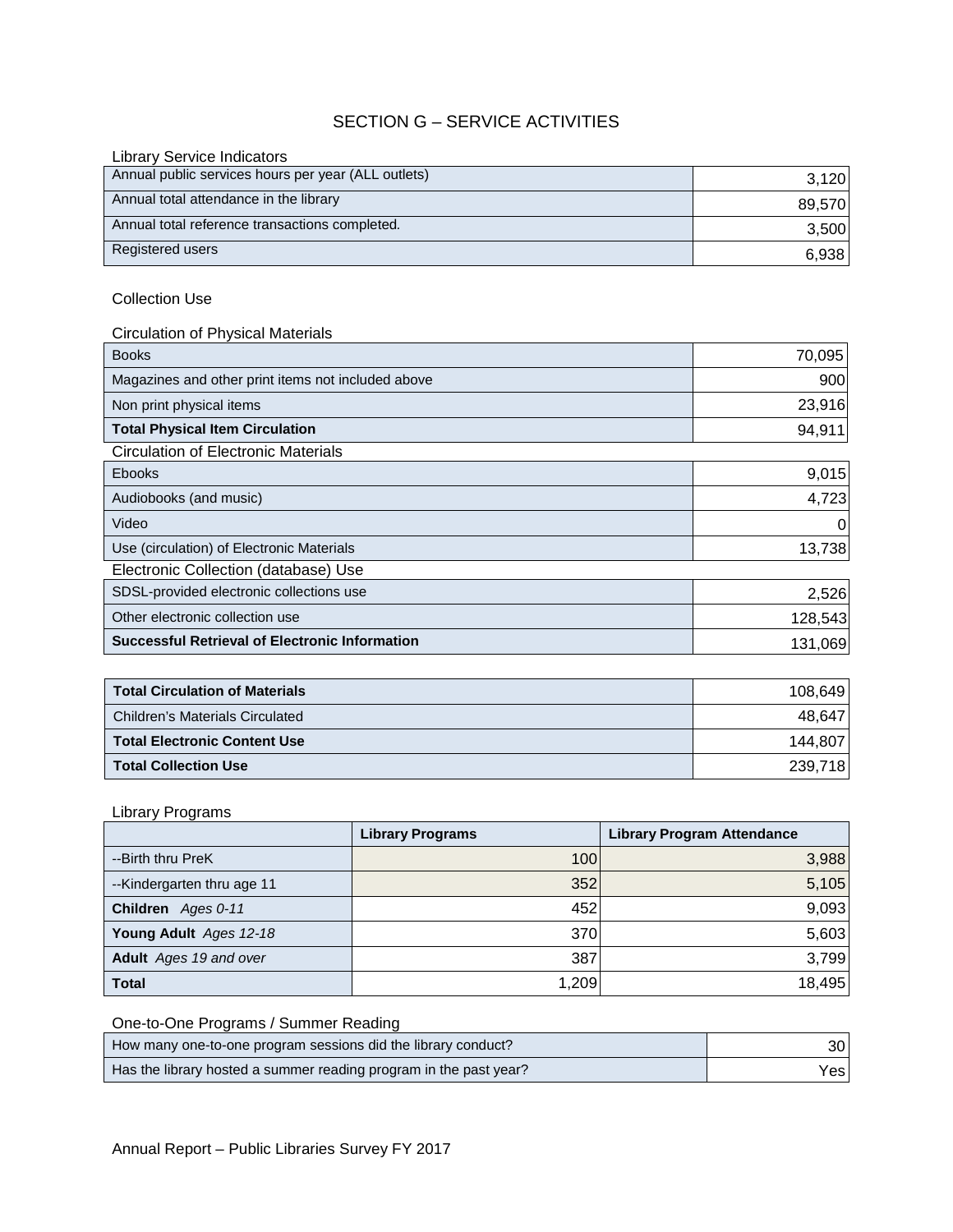## SECTION G – SERVICE ACTIVITIES

| <b>Library Service Indicators</b>                   |        |
|-----------------------------------------------------|--------|
| Annual public services hours per year (ALL outlets) | 3.120  |
| Annual total attendance in the library              | 89,570 |
| Annual total reference transactions completed.      | 3,500  |
| Registered users                                    | 6,938  |

## Collection Use

## Circulation of Physical Materials

| Annual total attendance in the library                | 89,570  |
|-------------------------------------------------------|---------|
| Annual total reference transactions completed.        | 3,500   |
| Registered users                                      | 6,938   |
|                                                       |         |
| <b>Collection Use</b>                                 |         |
| <b>Circulation of Physical Materials</b>              |         |
| <b>Books</b>                                          | 70,095  |
| Magazines and other print items not included above    | 900     |
| Non print physical items                              | 23,916  |
| <b>Total Physical Item Circulation</b>                | 94,911  |
| <b>Circulation of Electronic Materials</b>            |         |
| Ebooks                                                | 9,015   |
| Audiobooks (and music)                                | 4,723   |
| Video                                                 | O       |
| Use (circulation) of Electronic Materials             | 13,738  |
| Electronic Collection (database) Use                  |         |
| SDSL-provided electronic collections use              | 2,526   |
| Other electronic collection use                       | 128,543 |
| <b>Successful Retrieval of Electronic Information</b> | 131,069 |
|                                                       |         |
| <b>Total Circulation of Materials</b>                 | 108,649 |
| <b>Children's Materials Circulated</b>                | 48,647  |
| <b>Total Electronic Content Use</b>                   | 144,807 |
| <b>Total Collection Use</b>                           | 239,718 |

| SDSL-provided electronic collections use              | 2,526   |
|-------------------------------------------------------|---------|
| Other electronic collection use                       | 128,543 |
| <b>Successful Retrieval of Electronic Information</b> | 131,069 |
|                                                       |         |
| <b>Total Circulation of Materials</b>                 | 108,649 |
| <b>Children's Materials Circulated</b>                | 48,647  |
| <b>Total Electronic Content Use</b>                   | 144,807 |
| <b>Total Collection Use</b>                           | 239,718 |

## Library Programs

|                               | <b>Library Programs</b> | <b>Library Program Attendance</b> |
|-------------------------------|-------------------------|-----------------------------------|
| --Birth thru PreK             | 100                     | 3,988                             |
| --Kindergarten thru age 11    | 352                     | 5,105                             |
| Children Ages 0-11            | 452                     | 9,093                             |
| Young Adult Ages 12-18        | 370                     | 5,603                             |
| <b>Adult</b> Ages 19 and over | 387                     | 3,799                             |
| <b>Total</b>                  | 1,209                   | 18,495                            |

| One-to-One Programs / Summer Reading                              |      |
|-------------------------------------------------------------------|------|
| How many one-to-one program sessions did the library conduct?     | 30   |
| Has the library hosted a summer reading program in the past year? | Yesl |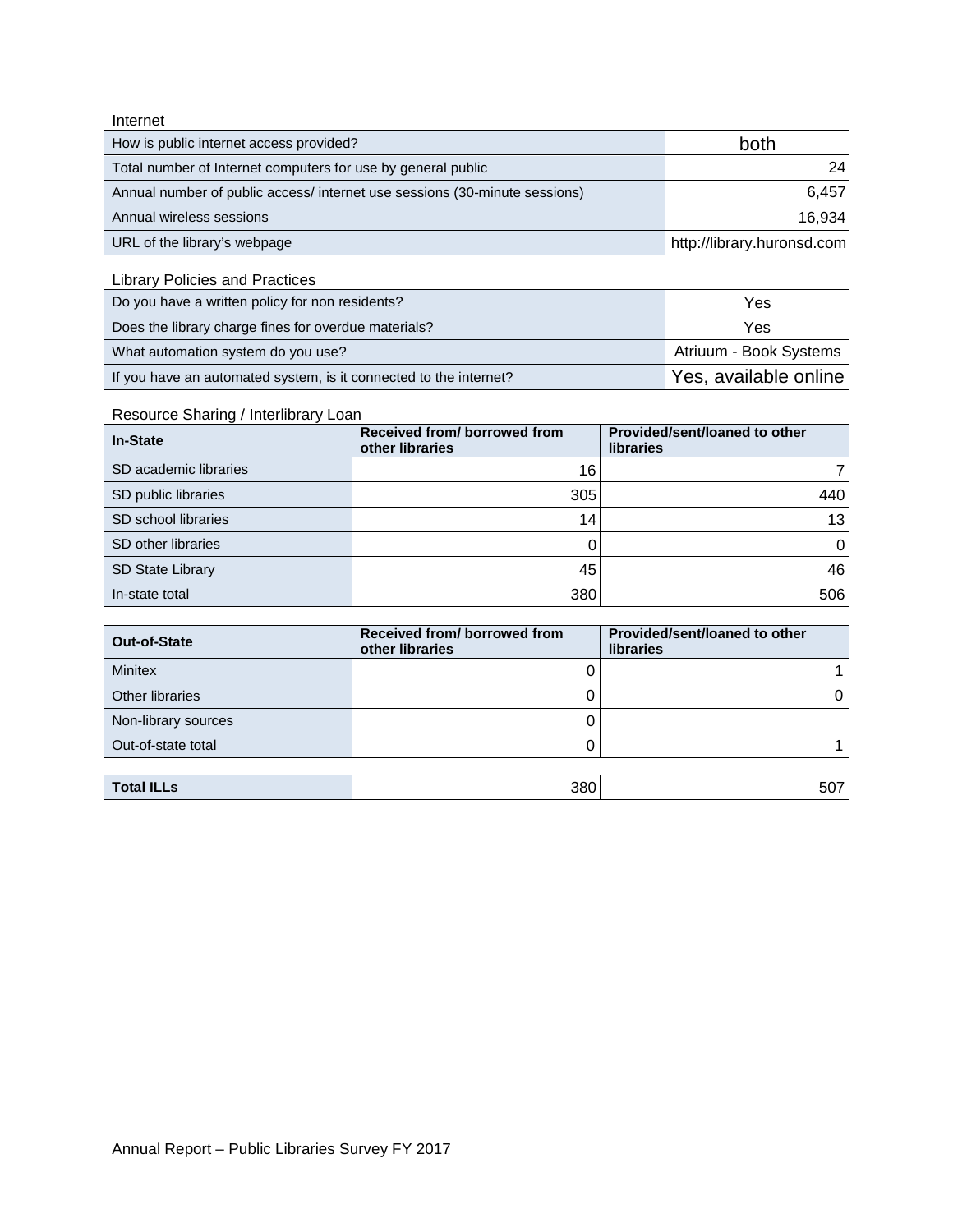### Internet

| How is public internet access provided?                                    | both                       |
|----------------------------------------------------------------------------|----------------------------|
| Total number of Internet computers for use by general public               | 24                         |
| Annual number of public access/ internet use sessions (30-minute sessions) | 6,457                      |
| Annual wireless sessions                                                   | 16,934                     |
| URL of the library's webpage                                               | http://library.huronsd.com |

Library Policies and Practices

| Do you have a written policy for non residents?                   | Yes                    |
|-------------------------------------------------------------------|------------------------|
| Does the library charge fines for overdue materials?              | Yes                    |
| What automation system do you use?                                | Atriuum - Book Systems |
| If you have an automated system, is it connected to the internet? | Yes, available online  |

## Resource Sharing / Interlibrary Loan

| <b>In-State</b>         | Received from/borrowed from<br>other libraries | Provided/sent/loaned to other<br><b>libraries</b> |
|-------------------------|------------------------------------------------|---------------------------------------------------|
| SD academic libraries   | 16                                             |                                                   |
| SD public libraries     | 305                                            | 440                                               |
| SD school libraries     | 14                                             | 13 <sub>l</sub>                                   |
| SD other libraries      |                                                | 01                                                |
| <b>SD State Library</b> | 45                                             | 46                                                |
| In-state total          | 380                                            | 506                                               |

| SD academic libraries   | 16                                             | 71                                                |
|-------------------------|------------------------------------------------|---------------------------------------------------|
| SD public libraries     | 305                                            | 440                                               |
| SD school libraries     | 14                                             | 13                                                |
| SD other libraries      | 0                                              | 0                                                 |
| <b>SD State Library</b> | 45                                             | 46                                                |
| In-state total          | 380                                            | 506                                               |
|                         |                                                |                                                   |
|                         |                                                |                                                   |
| <b>Out-of-State</b>     | Received from/borrowed from<br>other libraries | Provided/sent/loaned to other<br><b>libraries</b> |
| <b>Minitex</b>          | O                                              |                                                   |
| <b>Other libraries</b>  | 0                                              | 0                                                 |
| Non-library sources     | 0                                              |                                                   |
| Out-of-state total      | 0                                              |                                                   |
|                         |                                                |                                                   |

| <b>Total ILLs</b> | 380 | $-\sim$<br>ວເ |
|-------------------|-----|---------------|
|-------------------|-----|---------------|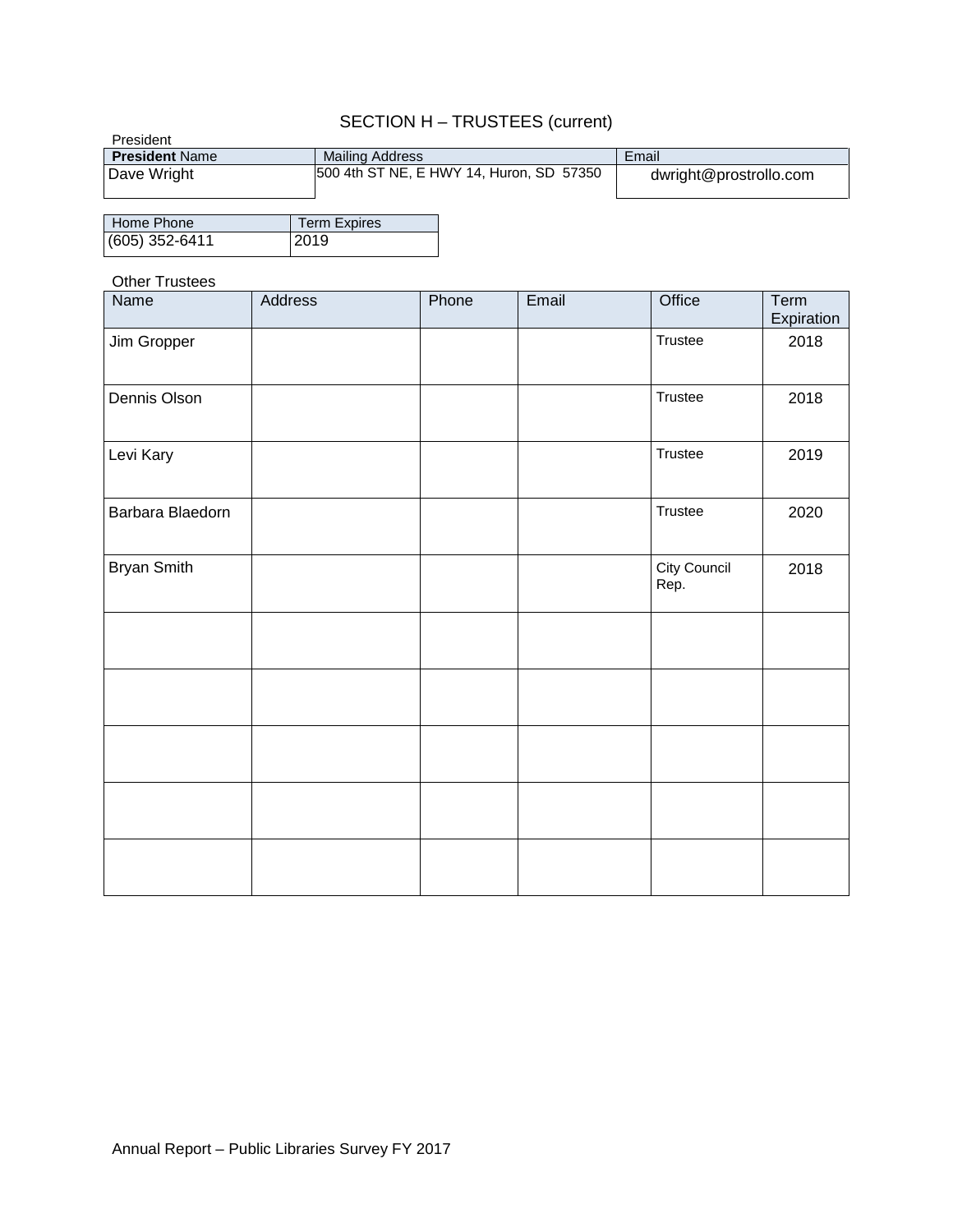## SECTION H – TRUSTEES (current)

| President             | ____________________________             |                        |
|-----------------------|------------------------------------------|------------------------|
| <b>President Name</b> | <b>Mailing Address</b>                   | Email                  |
| Dave Wright           | 500 4th ST NE, E HWY 14, Huron, SD 57350 | dwright@prostrollo.com |

| <b>Home Phone</b> | <b>Term Expires</b> |
|-------------------|---------------------|
| $(605)$ 352-6411  | 2019                |

### Other Trustees

| Name             | Address | Phone | Email | Office               | Term<br>Expiration |
|------------------|---------|-------|-------|----------------------|--------------------|
| Jim Gropper      |         |       |       | Trustee              | 2018               |
| Dennis Olson     |         |       |       | Trustee              | 2018               |
| Levi Kary        |         |       |       | Trustee              | 2019               |
| Barbara Blaedorn |         |       |       | Trustee              | 2020               |
| Bryan Smith      |         |       |       | City Council<br>Rep. | 2018               |
|                  |         |       |       |                      |                    |
|                  |         |       |       |                      |                    |
|                  |         |       |       |                      |                    |
|                  |         |       |       |                      |                    |
|                  |         |       |       |                      |                    |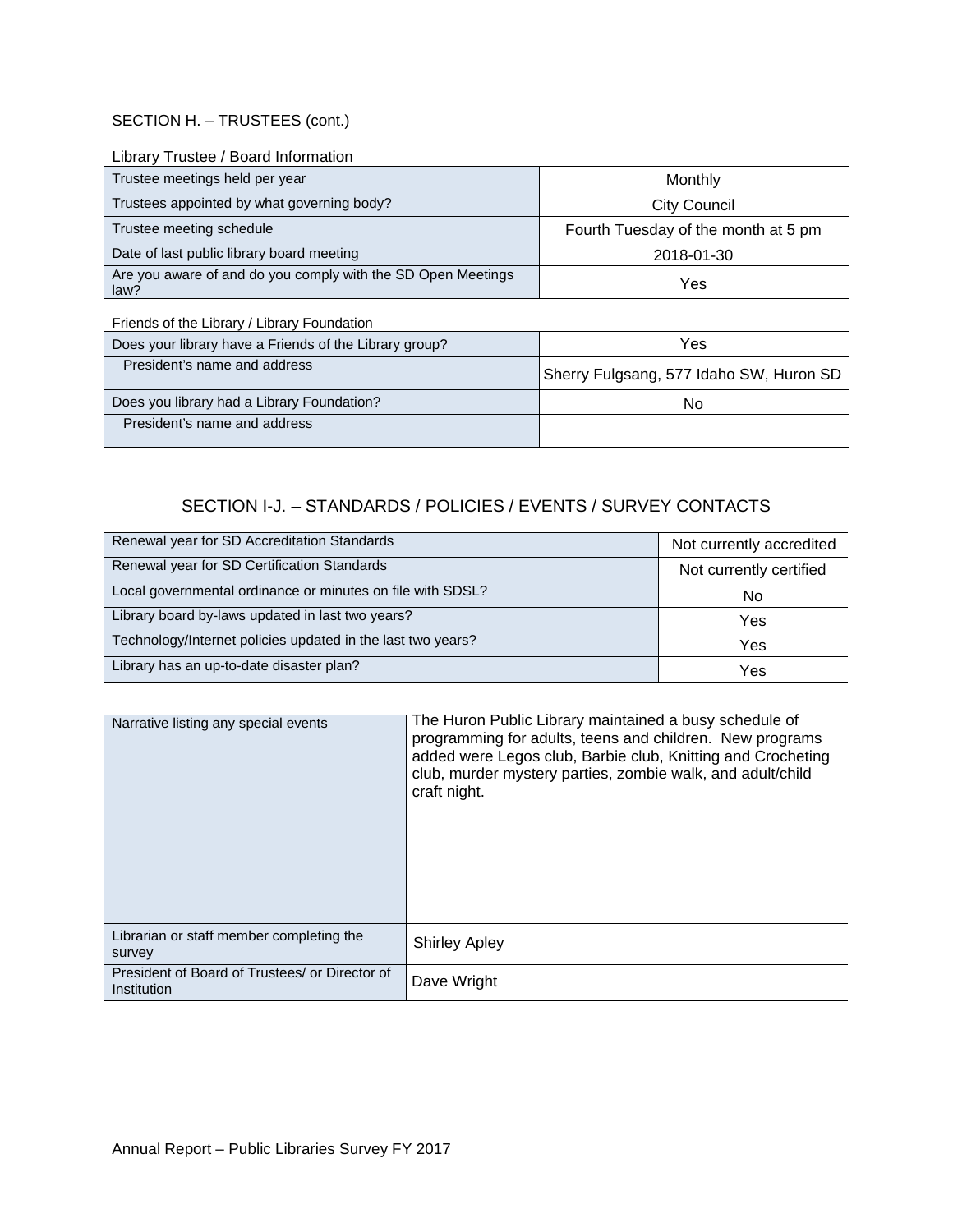### SECTION H. – TRUSTEES (cont.)

### Library Trustee / Board Information

| Trustee meetings held per year                                       | Monthly                             |
|----------------------------------------------------------------------|-------------------------------------|
| Trustees appointed by what governing body?                           | City Council                        |
| Trustee meeting schedule                                             | Fourth Tuesday of the month at 5 pm |
| Date of last public library board meeting                            | 2018-01-30                          |
| Are you aware of and do you comply with the SD Open Meetings<br>law? | Yes                                 |

Friends of the Library / Library Foundation

| Does your library have a Friends of the Library group? | Yes                                     |
|--------------------------------------------------------|-----------------------------------------|
| President's name and address                           | Sherry Fulgsang, 577 Idaho SW, Huron SD |
| Does you library had a Library Foundation?             | No                                      |
| President's name and address                           |                                         |

# SECTION I-J. – STANDARDS / POLICIES / EVENTS / SURVEY CONTACTS

| Renewal year for SD Accreditation Standards                 | Not currently accredited |
|-------------------------------------------------------------|--------------------------|
| Renewal year for SD Certification Standards                 | Not currently certified  |
| Local governmental ordinance or minutes on file with SDSL?  | No                       |
| Library board by-laws updated in last two years?            | Yes                      |
| Technology/Internet policies updated in the last two years? | Yes                      |
| Library has an up-to-date disaster plan?                    | Yes                      |

| Narrative listing any special events                          | The Huron Public Library maintained a busy schedule of<br>programming for adults, teens and children. New programs<br>added were Legos club, Barbie club, Knitting and Crocheting<br>club, murder mystery parties, zombie walk, and adult/child<br>craft night. |
|---------------------------------------------------------------|-----------------------------------------------------------------------------------------------------------------------------------------------------------------------------------------------------------------------------------------------------------------|
| Librarian or staff member completing the<br>survey            | <b>Shirley Apley</b>                                                                                                                                                                                                                                            |
| President of Board of Trustees/ or Director of<br>Institution | Dave Wright                                                                                                                                                                                                                                                     |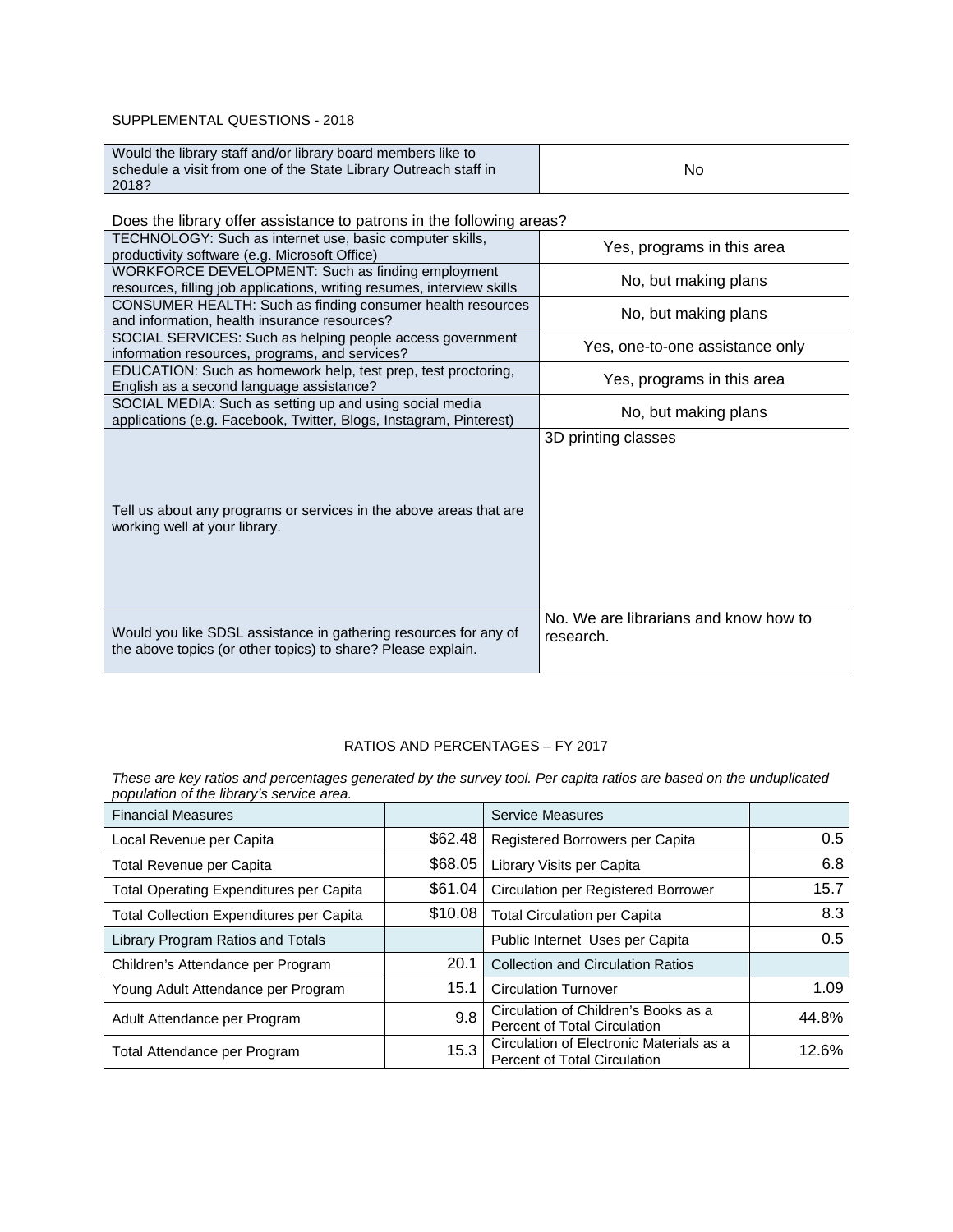### SUPPLEMENTAL QUESTIONS - 2018

| Would the library staff and/or library board members like to     |    |
|------------------------------------------------------------------|----|
| schedule a visit from one of the State Library Outreach staff in | No |
| 2018?                                                            |    |

Does the library offer assistance to patrons in the following areas?

| TECHNOLOGY: Such as internet use, basic computer skills,<br>productivity software (e.g. Microsoft Office)                        | Yes, programs in this area                         |
|----------------------------------------------------------------------------------------------------------------------------------|----------------------------------------------------|
| WORKFORCE DEVELOPMENT: Such as finding employment<br>resources, filling job applications, writing resumes, interview skills      | No, but making plans                               |
| CONSUMER HEALTH: Such as finding consumer health resources<br>and information, health insurance resources?                       | No, but making plans                               |
| SOCIAL SERVICES: Such as helping people access government<br>information resources, programs, and services?                      | Yes, one-to-one assistance only                    |
| EDUCATION: Such as homework help, test prep, test proctoring,<br>English as a second language assistance?                        | Yes, programs in this area                         |
| SOCIAL MEDIA: Such as setting up and using social media<br>applications (e.g. Facebook, Twitter, Blogs, Instagram, Pinterest)    | No, but making plans                               |
| Tell us about any programs or services in the above areas that are<br>working well at your library.                              | 3D printing classes                                |
| Would you like SDSL assistance in gathering resources for any of<br>the above topics (or other topics) to share? Please explain. | No. We are librarians and know how to<br>research. |

### RATIOS AND PERCENTAGES – FY 2017

*These are key ratios and percentages generated by the survey tool. Per capita ratios are based on the unduplicated population of the library's service area.*

| <b>Financial Measures</b>                      |         | Service Measures                                                                |       |
|------------------------------------------------|---------|---------------------------------------------------------------------------------|-------|
| Local Revenue per Capita                       | \$62.48 | Registered Borrowers per Capita                                                 | 0.5   |
| Total Revenue per Capita                       | \$68.05 | Library Visits per Capita                                                       | 6.8   |
| <b>Total Operating Expenditures per Capita</b> | \$61.04 | <b>Circulation per Registered Borrower</b>                                      | 15.7  |
| Total Collection Expenditures per Capita       | \$10.08 | <b>Total Circulation per Capita</b>                                             | 8.3   |
| Library Program Ratios and Totals              |         | Public Internet Uses per Capita                                                 | 0.5   |
| Children's Attendance per Program              | 20.1    | <b>Collection and Circulation Ratios</b>                                        |       |
| Young Adult Attendance per Program             | 15.1    | <b>Circulation Turnover</b>                                                     | 1.09  |
| Adult Attendance per Program                   | 9.8     | Circulation of Children's Books as a<br>Percent of Total Circulation            | 44.8% |
| Total Attendance per Program                   | 15.3    | Circulation of Electronic Materials as a<br><b>Percent of Total Circulation</b> | 12.6% |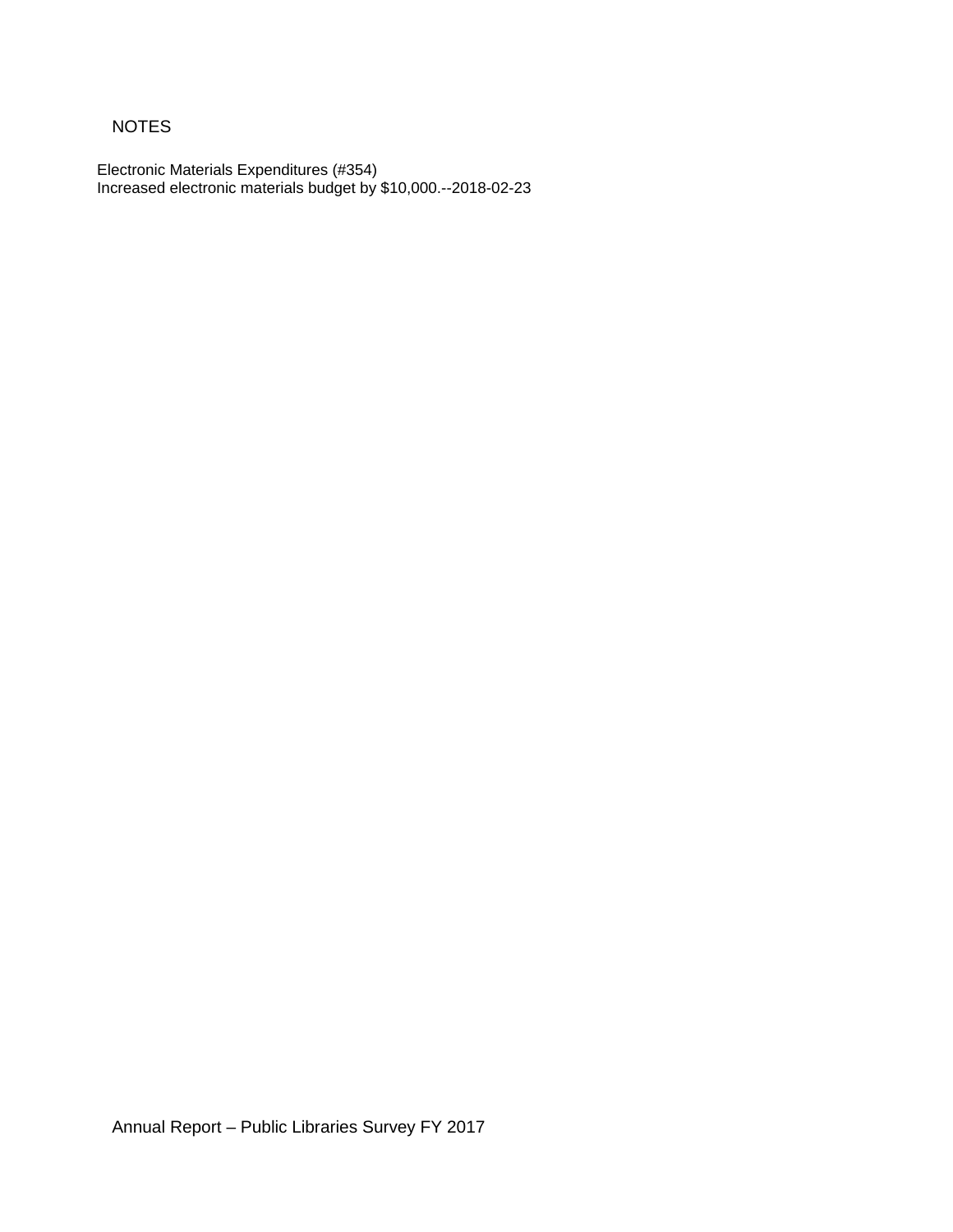## NOTES

Electronic Materials Expenditures (#354) Increased electronic materials budget by \$10,000.--2018-02-23